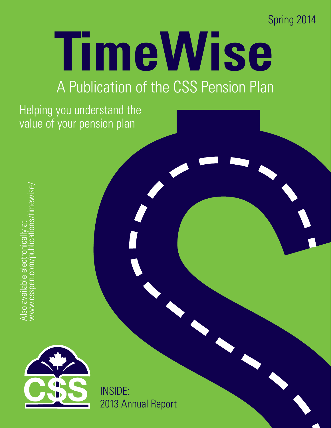Spring 2014

# **TimeWise**

# A Publication of the CSS Pension Plan

Helping you understand the value of your pension plan

Also available electronically at<br>www.csspen.com/publications/timewise/ Also available electronically at<br>www.csspen.com/publications/timewise/



INSIDE: 2013 Annual Report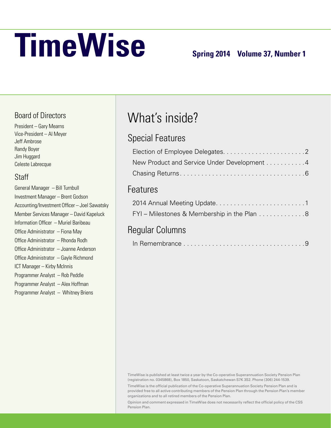# **TimeWise** Spring 2014 Volume 37, Number 1

#### Board of Directors

President – Gary Mearns Vice-President – Al Meyer Jeff Ambrose Randy Boyer Jim Huggard Celeste Labrecque

#### **Staff**

| General Manager - Bill Turnbull               |
|-----------------------------------------------|
| Investment Manager - Brent Godson             |
| Accounting/Investment Officer - Joel Sawatsky |
| Member Services Manager - David Kapeluck      |
| Information Officer - Muriel Baribeau         |
| Office Administrator - Fiona May              |
| Office Administrator - Rhonda Rodh            |
| Office Administrator - Joanne Anderson        |
| Office Administrator - Gayle Richmond         |
| ICT Manager - Kirby McInnis                   |
| Programmer Analyst - Rob Peddle               |
| Programmer Analyst - Alex Hoffman             |
| Programmer Analyst - Whitney Briens           |
|                                               |

# What's inside?

#### Special Features

| New Product and Service Under Development 4 |  |
|---------------------------------------------|--|
|                                             |  |

#### Features

| FYI - Milestones & Membership in the Plan 8 |  |
|---------------------------------------------|--|

#### Regular Columns

|--|--|--|

TimeWise is published at least twice a year by the Co-operative Superannuation Society Pension Plan (registration no. 0345868), Box 1850, Saskatoon, Saskatchewan S7K 3S2. Phone (306) 244-1539.

TimeWise is the official publication of the Co-operative Superannuation Society Pension Plan and is provided free to all active contributing members of the Pension Plan through the Pension Plan's member organizations and to all retired members of the Pension Plan.

Opinion and comment expressed in TimeWise does not necessarily reflect the official policy of the CSS Pension Plan.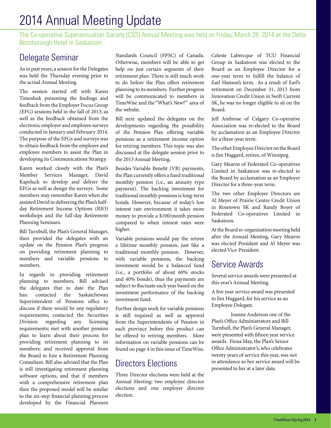# 2014 Annual Meeting Update

The Co-operative Superannuation Society (CSS) Annual Meeting was held on Friday, March 28, 2014 at the Delta Bessborough Hotel in Saskatoon.

#### Delegate Seminar

As in past years, a session for the Delegates was held the Thursday evening prior to the actual Annual Meeting.

The session started off with Karen Timoshuk presenting the findings and feedback from the Employer Focus Group (EFG) sessions held in the fall of 2013, as well as the feedback obtained from the electronic employer and employee surveys conducted in January and February 2014. The purpose of the EFGs and surveys was to obtain feedback from the employer and employee members to assist the Plan in developing its Communications Strategy.

Karen worked closely with the Plan's Member Services Manager, David Kapeluck to develop and deliver the EFGs as well as design the surveys. Some members may remember Karen when she assisted David in delivering the Plan's halfday Retirement Income Options (RIO) workshops and the full-day Retirement Planning Seminars.

Bill Turnbull, the Plan's General Manager, then provided the delegates with an update on the Pension Plan's progress on providing retirement planning to members and variable pensions to members.

In regards to providing retirement planning to members, Bill advised the delegates that to date the Plan has: contacted the Saskatchewan Superintendent of Pensions office to discuss if there would be any regulatory requirements; contacted the Securities Division regarding any licensing requirements; met with another pension plan to learn about their process for providing retirement planning to its members; and received approval from the Board to hire a Retirement Planning Consultant. Bill also advised that the Plan is still investigating retirement planning software options, and that if members wish a comprehensive retirement plan then the proposed model will be similar to the six-step financial planning process developed by the Financial Planners

Standards Council (FPSC) of Canada. Otherwise, members will be able to get help on just certain segments of their retirement plan. There is still much work to do before the Plan offers retirement planning to its members. Further progress will be communicated to members in TimeWise and the "What's New?" area of the website.

Bill next updated the delegates on the developments regarding the possibility of the Pension Plan offering variable pensions as a retirement income option for retiring members. This topic was also discussed at the delegate session prior to the 2013 Annual Meeting.

Besides Variable Benefit (VB) payments, the Plan currently offers a fixed traditional monthly pension (i.e., an annuity type payment). The backing investment for traditional monthly pensions is long-term bonds. However, because of today's low interest rate environment it takes more money to provide a \$100/month pension compared to when interest rates were higher.

Variable pensions would pay the retiree a lifetime monthly pension, just like a traditional monthly pension. However, with variable pensions, the backing investment would be a balanced fund (i.e., a portfolio of about 60% stocks and 40% bonds), thus the payments are subject to fluctuate each year based on the investment performance of the backing investment fund.

Further design work for variable pensions is still required as well as approval from the Superintendents of Pension in each province before this product can be offered to retiring members. More information on variable pensions can be found on page 4 in this issue of TimeWise.

#### Directors Elections

Three Director elections were held at the Annual Meeting: two employee director elections and one employer director election.

Celeste Labrecque of TCU Financial Group in Saskatoon was elected to the Board as an Employee Director for a one-year term to fulfill the balance of Earl Hanson's term. As a result of Earl's retirement on December 31, 2013 from Innovation Credit Union in Swift Current SK, he was no longer eligible to sit on the Board.

Jeff Ambrose of Calgary Co-operative Association was re-elected to the Board by acclamation as an Employee Director for a three-year term.

The other Employee Director on the Board is Jim Huggard, retiree, of Winnipeg.

Gary Mearns of Federated Co-operatives Limited in Saskatoon was re-elected to the Board by acclamation as an Employer Director for a three-year term.

The two other Employer Directors are Al Meyer of Prairie Centre Credit Union in Rosetown SK and Randy Boyer of Federated Co-operatives Limited in Saskatoon.

At the Board re-organization meeting held after the Annual Meeting, Gary Mearns was elected President and Al Meyer was elected Vice-President.

#### Service Awards

Several service awards were presented at this year's Annual Meeting.

A five year service award was presented to Jim Huggard, for his service as an Employee Delegate.

Joanne Anderson one of the Plan's Office Administrators and Bill Turnbull, the Plan's General Manager, were presented with fifteen year service awards. Fiona May, the Plan's Senior Office Administrator's, who celebrates twenty years of service this year, was not in attendance so her service award will be presented to her at a later date.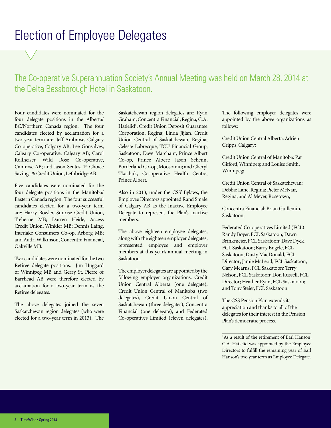### Election of Employee Delegates

#### The Co-operative Superannuation Society's Annual Meeting was held on March 28, 2014 at the Delta Bessborough Hotel in Saskatoon.

Four candidates were nominated for the four delegate positions in the Alberta/ BC/Northern Canada region. The four candidates elected by acclamation for a two-year term are: Jeff Ambrose, Calgary Co-operative, Calgary AB; Lee Gonsalves, Calgary Co-operative, Calgary AB; Carol Rollheiser, Wild Rose Co-operative, Camrose AB; and Jason Sentes, 1<sup>st</sup> Choice Savings & Credit Union, Lethbridge AB.

Five candidates were nominated for the four delegate positions in the Manitoba/ Eastern Canada region. The four successful candidates elected for a two-year term are: Harry Bowler, Sunrise Credit Union, Treherne MB; Darren Heide, Access Credit Union, Winkler MB; Dennis Laing, Interlake Consumers Co-op, Arborg MB; and Audri Wilkinson, Concentra Financial, Oakville MB.

Two candidates were nominated for the two Retiree delegate positions. Jim Huggard of Winnipeg MB and Gerry St. Pierre of Barrhead AB were therefore elected by acclamation for a two-year term as the Retiree delegates.

The above delegates joined the seven Saskatchewan region delegates (who were elected for a two-year term in 2013). The

Saskatchewan region delegates are: Ryan Graham, Concentra Financial, Regina; C.A. Hatlelid<sup>1</sup>, Credit Union Deposit Guarantee Corporation, Regina; Linda Jijian, Credit Union Central of Saskatchewan, Regina; Celeste Labrecque, TCU Financial Group, Saskatoon; Dave Marchant, Prince Albert Co-op, Prince Albert; Jason Schenn, Borderland Co-op, Moosomin; and Cheryl Tkachuk, Co-operative Health Centre, Prince Albert.

Also in 2013, under the CSS' Bylaws, the Employee Directors appointed Rand Smale of Calgary AB as the Inactive Employee Delegate to represent the Plan's inactive members.

The above eighteen employee delegates, along with the eighteen employer delegates, represented employee and employer members at this year's annual meeting in Saskatoon.

The employer delegates are appointed by the following employer organizations: Credit Union Central Alberta (one delegate), Credit Union Central of Manitoba (two delegates), Credit Union Central of Saskatchewan (three delegates), Concentra Financial (one delegate), and Federated Co-operatives Limited (eleven delegates).

The following employer delegates were appointed by the above organizations as follows:

Credit Union Central Alberta: Adrien Cripps, Calgary;

Credit Union Central of Manitoba: Pat Gifford, Winnipeg; and Louise Smith, Winnipeg;

Credit Union Central of Saskatchewan: Debbie Lane, Regina; Pieter McNair, Regina; and Al Meyer, Rosetown;

Concentra Financial: Brian Guillemin, Saskatoon;

Federated Co-operatives Limited (FCL): Randy Boyer, FCL Saskatoon; Dawn Brinkmeier, FCL Saskatoon; Dave Dyck, FCL Saskatoon; Barry Engele, FCL Saskatoon; Dusty MacDonald, FCL Director; Jamie McLeod, FCL Saskatoon; Gary Mearns, FCL Saskatoon; Terry Nelson, FCL Saskatoon; Don Russell, FCL Director; Heather Ryan, FCL Saskatoon; and Tony Steier, FCL Saskatoon.

The CSS Pension Plan extends its appreciation and thanks to all of the delegates for their interest in the Pension Plan's democratic process.

<sup>&</sup>lt;sup>1</sup>As a result of the retirement of Earl Hanson, C.A. Hatlelid was appointed by the Employee Directors to fulfill the remaining year of Earl Hanson's two year term as Employee Delegate.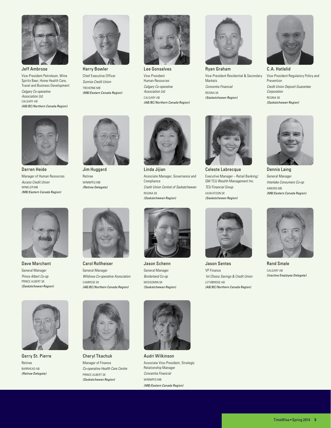

Jeff Ambrose Vice-President Petroleum, Wine Spirits Beer, Home Health Care, Travel and Business Development *Calgary Co-operative Association Ltd.* CALGARY AB *(AB/BC/Northern Canada Region)*



Harry Bowler Chief Executive Officer *Sunrise Credit Union* TREHERNE MB *(MB/Eastern Canada Region)*



Lee Gonsalves Vice-President Human Resources *Calgary Co-operative Association Ltd.* CALGARY AB *(AB/BC/Northern Canada Region)*



Ryan Graham Vice-President Residential & Secondary Markets *Concentra Financial* REGINA SK *(Saskatchewan Region)*



C.A. Hatlelid Vice-President Regulatory Policy and Prevention *Credit Union Deposit Guarantee Corporation* REGINA SK *(Saskatchewan Region)*



Darren Heide Manager of Human Resources *Access Credit Union* WINKLER MB *(MB/Eastern Canada Region)*



Jim Huggard Retiree WINNIPEG MB *(Retiree Delegate)*



Linda Jijian Associate Manager, Governance and Compliance *Credit Union Central of Saskatchewan* REGINA SK *(Saskatchewan Region)*



Celeste Labrecque Executive Manager – Retail Banking/ GM TCU Wealth Management Inc. *TCU Financial Group* SASKATOON SK *(Saskatchewan Region)*



Dennis Laing General Manager *Interlake Consumers Co-op* ARBORG MB *(MB/Eastern Canada Region)*



Dave Marchant General Manager *Prince Albert Co-op* PRINCE ALBERT SK *(Saskatchewan Region)*



Carol Rollheiser General Manager *Wildrose Co-operative Association* CAMROSE SK *(AB/BC/Northern Canada Region)*



Jason Schenn General Manager *Borderland Co-op* MOOSOMIN SK *(Saskatchewan Region)*







Jason Sentes VP Finance *1st Choice Savings & Credit Union* LETHBRIDGE AB *(AB/BC/Northern Canada Region)*



Rand Smale CALGARY AB *(Inactive Employee Delegate)*



Gerry St. Pierre Retiree BARRHEAD AB *(Retiree Delegate)*



Cheryl Tkachuk Manager of Finance *Co-operative Health Care Centre* PRINCE ALBERT SK *(Saskatchewan Region)*



Audri Wilkinson Associate Vice-President, Strategic Relationship Manager *Concentra Financial* WINNIPEG MB *(MB/Eastern Canada Region)*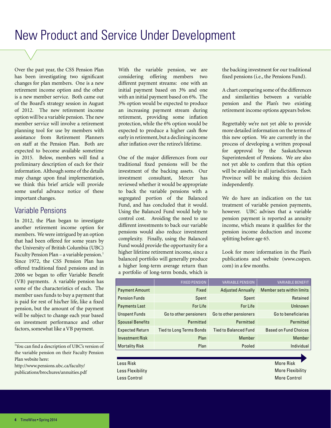Over the past year, the CSS Pension Plan has been investigating two significant changes for plan members. One is a new retirement income option and the other is a new member service. Both came out of the Board's strategy session in August of 2012. The new retirement income option will be a variable pension. The new member service will involve a retirement planning tool for use by members with assistance from Retirement Planners on staff at the Pension Plan. Both are expected to become available sometime in 2015. Below, members will find a preliminary description of each for their information. Although some of the details may change upon final implementation, we think this brief article will provide some useful advance notice of these important changes.

#### Variable Pensions

In 2012, the Plan began to investigate another retirement income option for members. We were intrigued by an option that had been offered for some years by the University of British Columbia (UBC) Faculty Pension Plan – a variable pension.<sup>1</sup> Since 1972, the CSS Pension Plan has offered traditional fixed pensions and in 2006 we began to offer Variable Benefit (VB) payments. A variable pension has some of the characteristics of each. The member uses funds to buy a payment that is paid for rest of his/her life, like a fixed pension, but the amount of the payment will be subject to change each year based on investment performance and other factors, somewhat like a VB payment.

1 You can find a description of UBC's version of the variable pension on their Faculty Pension Plan website here:

http://www.pensions.ubc.ca/faculty/ publications/brochures/annuities.pdf

With the variable pension, we are considering offering members two different payment streams: one with an initial payment based on 3% and one with an initial payment based on 6%. The 3% option would be expected to produce an increasing payment stream during retirement, providing some inflation protection, while the 6% option would be expected to produce a higher cash flow early in retirement, but a declining income after inflation over the retiree's lifetime.

One of the major differences from our traditional fixed pensions will be the investment of the backing assets. Our investment consultant, Mercer has reviewed whether it would be appropriate to back the variable pensions with a segregated portion of the Balanced Fund, and has concluded that it would. Using the Balanced Fund would help to control cost. Avoiding the need to use different investments to back our variable pensions would also reduce investment complexity. Finally, using the Balanced Fund would provide the opportunity for a higher lifetime retirement income, since a balanced portfolio will generally produce a higher long-term average return than a portfolio of long-term bonds, which is the backing investment for our traditional fixed pensions (i.e., the Pensions Fund).

A chart comparing some of the differences and similarities between a variable pension and the Plan's two existing retirement income options appears below.

Regrettably we're not yet able to provide more detailed information on the terms of this new option. We are currently in the process of developing a written proposal for approval by the Saskatchewan Superintendent of Pensions. We are also not yet able to confirm that this option will be available in all jurisdictions. Each Province will be making this decision independently.

We do have an indication on the tax treatment of variable pension payments, however. UBC advises that a variable pension payment is reported as annuity income, which means it qualifies for the pension income deduction and income splitting before age 65.

Look for more information in the Plan's publications and website (www.csspen. com) in a few months.

|                         | <b>FIXED PENSION</b>            | <b>VARIABLE PENSION</b>      | <b>VARIABLE BENEFIT</b>      |
|-------------------------|---------------------------------|------------------------------|------------------------------|
| <b>Payment Amount</b>   | Fixed                           | <b>Adjusted Annually</b>     | Member sets within limits    |
| <b>Pension Funds</b>    | Spent                           | Spent                        | Retained                     |
| <b>Payments Last</b>    | <b>For Life</b>                 | For Life                     | Unknown                      |
| <b>Unspent Funds</b>    | Go to other pensioners          | Go to other pensioners       | Go to beneficiaries          |
| <b>Spousal Benefits</b> | Permitted                       | Permitted                    | Permitted                    |
| <b>Expected Return</b>  | <b>Tied to Long Terms Bonds</b> | <b>Tied to Balanced Fund</b> | <b>Based on Fund Choices</b> |
| <b>Investment Risk</b>  | Plan                            | Member                       | Member                       |
| <b>Mortality Risk</b>   | Plan                            | Pooled                       | Individual                   |

Less Risk Less Flexibility Less Control

More Risk More Flexibility More Control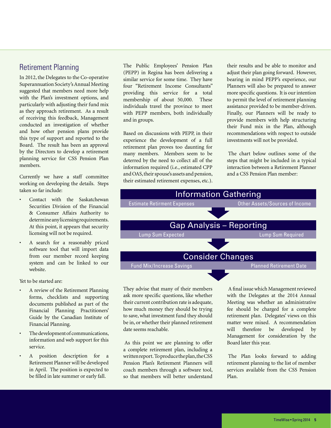#### Retirement Planning

In 2012, the Delegates to the Co-operative Superannuation Society's Annual Meeting suggested that members need more help with the Plan's investment options, and particularly with adjusting their fund mix as they approach retirement. As a result of receiving this feedback, Management conducted an investigation of whether and how other pension plans provide this type of support and reported to the Board. The result has been an approval by the Directors to develop a retirement planning service for CSS Pension Plan members.

Currently we have a staff committee working on developing the details. Steps taken so far include:

- Contact with the Saskatchewan Securities Division of the Financial & Consumer Affairs Authority to determine any licensing requirements. At this point, it appears that security licensing will not be required.
- A search for a reasonably priced software tool that will import data from our member record keeping system and can be linked to our website.

Yet to be started are:

- A review of the Retirement Planning forms, checklists and supporting documents published as part of the Financial Planning Practitioners' Guide by the Canadian Institute of Financial Planning.
- The development of communications, information and web support for this service.
- A position description for a Retirement Planner will be developed in April. The position is expected to be filled in late summer or early fall.

The Public Employees' Pension Plan (PEPP) in Regina has been delivering a similar service for some time. They have four "Retirement Income Consultants" providing this service for a total membership of about 50,000. These individuals travel the province to meet with PEPP members, both individually and in groups.

Based on discussions with PEPP, in their experience the development of a full retirement plan proves too daunting for many members. Members seem to be deterred by the need to collect all of the information required (i.e., estimated CPP and OAS, their spouse's assets and pension, their estimated retirement expenses, etc.). their results and be able to monitor and adjust their plan going forward. However, bearing in mind PEPP's experience, our Planners will also be prepared to answer more specific questions. It is our intention to permit the level of retirement planning assistance provided to be member-driven. Finally, our Planners will be ready to provide members with help structuring their Fund mix in the Plan, although recommendations with respect to outside investments will not be provided.

The chart below outlines some of the steps that might be included in a typical interaction between a Retirement Planner and a CSS Pension Plan member:



They advise that many of their members ask more specific questions, like whether their current contribution rate is adequate, how much money they should be trying to save, what investment fund they should be in, or whether their planned retirement date seems reachable.

As this point we are planning to offer a complete retirement plan, including a written report. To produce the plan, the CSS Pension Plan's Retirement Planners will coach members through a software tool, so that members will better understand

A final issue which Management reviewed with the Delegates at the 2014 Annual Meeting was whether an administrative fee should be charged for a complete retirement plan. Delegates' views on this matter were mixed. A recommendation will therefore be developed by Management for consideration by the Board later this year.

The Plan looks forward to adding retirement planning to the list of member services available from the CSS Pension Plan.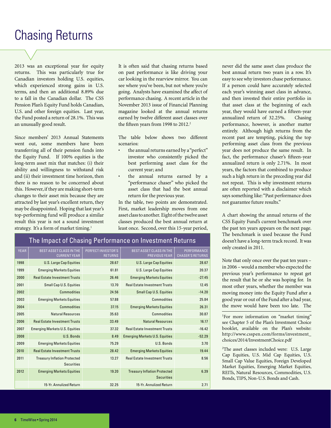# Chasing Returns

2013 was an exceptional year for equity returns. This was particularly true for Canadian investors holding U.S. equities, which experienced strong gains in U.S. terms, and then an additional 8.89% due to a fall in the Canadian dollar. The CSS Pension Plan's Equity Fund holds Canadian, U.S. and other foreign equities. Last year, the Fund posted a return of 28.1%. This was an unusually good result.

Since members' 2013 Annual Statements went out, some members have been transferring all of their pension funds into the Equity Fund. If 100% equities is the long-term asset mix that matches: (i) their ability and willingness to withstand risk and (ii) their investment time horizon, then there is no reason to be concerned about this. However, if they are making short-term changes to their asset mix because they are attracted by last year's excellent return, they may be disappointed. Hoping that last year's top-performing fund will produce a similar result this year is not a sound investment strategy. It's a form of market timing.<sup>1</sup>

It is often said that chasing returns based on past performance is like driving your car looking in the rearview mirror. You can see where you've been, but not where you're going. Analysts have examined the affect of performance chasing. A recent article in the November 2013 issue of Financial Planning magazine looked at the annual returns earned by twelve different asset classes over the fifteen years from 1998 to 2012.<sup>2</sup>

The table below shows two different scenarios:

- the annual returns earned by a "perfect" investor who consistently picked the best performing asset class for the current year; and
- the annual returns earned by a "performance chaser" who picked the asset class that had the best annual return for the previous year.

In the table, two points are demonstrated. First, market leadership moves from one asset class to another. Eight of the twelve asset classes produced the best annual return at least once. Second, over this 15-year period,

13.27 Real Estate Investment Trusts 8.56

**Securities** 

6.39

| The Impact of Chasing Performance on Investment Returns |                                                       |                                      |                                          |                                        |
|---------------------------------------------------------|-------------------------------------------------------|--------------------------------------|------------------------------------------|----------------------------------------|
| <b>YEAR</b>                                             | <b>BEST ASSET CLASS IN THE</b><br><b>CURRENT YEAR</b> | PERFECT INVESTOR'S<br><b>RETURNS</b> | BEST ASSET CLASS IN THE<br>PREVIOUS YEAR | PERFORMANCE<br><b>CHASER'S RETURNS</b> |
| 1998                                                    | <b>U.S. Large Cap Equities</b>                        | 28.67                                | <b>U.S. Large Cap Equities</b>           | 28.67                                  |
| 1999                                                    | <b>Emerging Markets Equities</b>                      | 61.81                                | U.S. Large Cap Equities                  | 20.37                                  |
| 2000                                                    | <b>Real Estate Investment Trusts</b>                  | 26.46                                | <b>Emerging Markets Equities</b>         | $-27.45$                               |
| 2001                                                    | <b>Small Cap U.S. Equities</b>                        | 13.70                                | <b>Real Estate Investment Trusts</b>     | 12.45                                  |
| 2002                                                    | Commodities                                           | 24.56                                | <b>Small Cap U.S. Equities</b>           | $-14.20$                               |
| 2003                                                    | <b>Emerging Markets Equities</b>                      | 57.88                                | <b>Commodities</b>                       | 25.84                                  |
| 2004                                                    | <b>Commodities</b>                                    | 37.15                                | <b>Emerging Markets Equities</b>         | 26.31                                  |
| 2005                                                    | <b>Natural Resources</b>                              | 35.63                                | <b>Commodities</b>                       | 30.87                                  |
| 2006                                                    | <b>Real Estate Investment Trusts</b>                  | 33.49                                | <b>Natural Resources</b>                 | 16.17                                  |
| 2007                                                    | <b>Emerging Markets U.S. Equities</b>                 | 37.32                                | <b>Real Estate Investment Trusts</b>     | $-16.42$                               |
| 2008                                                    | U.S. Bonds                                            | 8.49                                 | <b>Emerging Markets U.S. Equities</b>    | $-52.29$                               |

2009 Emerging Markets Equities 75.29 U.S. Bonds 3.70 2010 Real Estate Investment Trusts 28.42 Emerging Markets Equities 19.44

15-Yr. Annulized Return 32.25 15-Yr. Annulized Return 2.71

2012 Emerging Markets Equities 19.20 Treasury Inflation Protected

never did the same asset class produce the best annual return two years in a row. It's easy to see why investors chase performance. If a person could have accurately selected each year's winning asset class in advance, and then invested their entire portfolio in that asset class at the beginning of each year, they would have earned a fifteen-year annualized return of 32.25%. Chasing performance, however, is another matter entirely. Although high returns from the recent past are tempting, picking the top performing asset class from the previous year does not produce the same result. In fact, the performance chaser's fifteen-year annualized return is only 2.71%. In most years, the factors that combined to produce such a high return in the preceding year did not repeat. This is why investment returns are often reported with a disclaimer which says something like: "Past performance does not guarantee future results."

A chart showing the annual returns of the CSS Equity Fund's current benchmark over the past ten years appears on the next page. The benchmark is used because the Fund doesn't have a long-term track record. It was only created in 2011.

Note that only once over the past ten years – in 2006 – would a member who expected the previous year's performance to repeat get the result that he or she was hoping for. In most other years, whether the member was moving money into the Equity Fund after a good year or out of the Fund after a bad year, the move would have been too late. The

<sup>1</sup>For more information on "market timing" see Chapter 5 of the Plan's Investment Choice booklet, available on the Plan's website: http://www.csspen.com/forms/investment\_ choices/2014/InvestmentChoice.pdf

<sup>2</sup>The asset classes included were: U.S. Large Cap Equities, U.S. Mid Cap Equities, U.S. Small Cap Value Equities, Foreign Developed Market Equities, Emerging Market Equities, REITs, Natural Resources, Commodities, U.S. Bonds, TIPS, Non-U.S. Bonds and Cash.

2011 Treasury Inflation Protected

Securities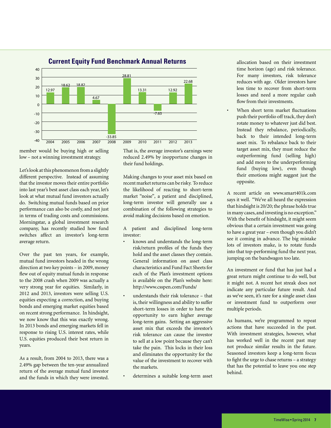

**Current Equity Fund Benchmark Annual Returns**

member would be buying high or selling low – not a winning investment strategy.

Let's look at this phenomenon from a slightly different perspective. Instead of assuming that the investor moves their entire portfolio into last year's best asset class each year, let's look at what mutual fund investors actually do. Switching mutual funds based on prior performance can also be costly, and not just in terms of trading costs and commissions. Morningstar, a global investment research company, has recently studied how fund switches affect an investor's long-term average return.

Over the past ten years, for example, mutual fund investors headed in the wrong direction at two key points – in 2009, money flew out of equity mutual funds in response to the 2008 crash when 2009 was actually a very strong year for equities. Similarly, in 2012 and 2013, investors were selling U.S. equities expecting a correction, and buying bonds and emerging market equities based on recent strong performance. In hindsight, we now know that this was exactly wrong. In 2013 bonds and emerging markets fell in response to rising U.S. interest rates, while U.S. equities produced their best return in years.

As a result, from 2004 to 2013, there was a 2.49% gap between the ten-year annualized return of the average mutual fund investor and the funds in which they were invested. That is, the average investor's earnings were reduced 2.49% by inopportune changes in their fund holdings.

Making changes to your asset mix based on recent market returns can be risky. To reduce the likelihood of reacting to short-term market "noise", a patient and disciplined, long-term investor will generally use a combination of the following strategies to avoid making decisions based on emotion.

A patient and disciplined long-term investor:

- knows and understands the long-term risk/return profiles of the funds they hold and the asset classes they contain. General information on asset class characteristics and Fund Fact Sheets for each of the Plan's investment options is available on the Plan's website here: http://www.csspen.com/Funds/
- understands their risk tolerance that is, their willingness and ability to suffer short-term losses in order to have the opportunity to earn higher average long-term gains. Setting an aggressive asset mix that exceeds the investor's risk tolerance can cause the investor to sell at a low point because they can't take the pain. This locks in their loss and eliminates the opportunity for the value of the investment to recover with the markets.
- determines a suitable long-term asset

allocation based on their investment time horizon (age) and risk tolerance. For many investors, risk tolerance reduces with age. Older investors have less time to recover from short-term losses and need a more regular cash flow from their investments.

When short term market fluctuations push their portfolio off track, they don't rotate money to whatever just did best. Instead they rebalance, periodically, back to their intended long-term asset mix. To rebalance back to their target asset mix, they must reduce the outperforming fund (selling high) and add more to the underperforming fund (buying low), even though their emotions might suggest just the opposite.

A recent article on www.smart401k.com says it well. "We've all heard the expression that hindsight is 20/20; the phrase holds true in many cases, and investing is no exception." With the benefit of hindsight, it might seem obvious that a certain investment was going to have a great year – even though you didn't see it coming in advance. The big mistake lots of investors make, is to rotate funds into that top-performing fund the next year, jumping on the bandwagon too late.

An investment or fund that has just had a great return might continue to do well, but it might not. A recent hot streak does not indicate any particular future result. And as we've seen, it's rare for a single asset class or investment fund to outperform over multiple periods.

As humans, we're programmed to repeat actions that have succeeded in the past. With investment strategies, however, what has worked well in the recent past may not produce similar results in the future. Seasoned investors keep a long-term focus to fight the urge to chase returns – a strategy that has the potential to leave you one step behind.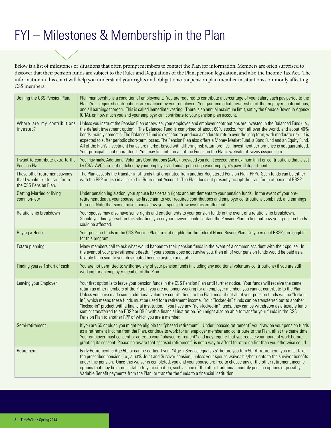# FYI – Milestones & Membership in the Plan

Below is a list of milestones or situations that often prompt members to contact the Plan for information. Members are often surprised to discover that their pension funds are subject to the Rules and Regulations of the Plan, pension legislation, and also the Income Tax Act. The information in this chart will help you understand your rights and obligations as a pension plan member in situations commonly affecting CSS members.

| Joining the CSS Pension Plan.                                                                | Plan membership is a condition of employment. You are required to contribute a percentage of your salary each pay period to the<br>Plan. Your required contributions are matched by your employer. You gain immediate ownership of the employer contributions,<br>and all earnings thereon. This is called immediate vesting. There is an annual maximum limit, set by the Canada Revenue Agency<br>(CRA), on how much you and your employer can contribute to your pension plan account.                                                                                                                                                                                                                                                                                                                                                                        |
|----------------------------------------------------------------------------------------------|------------------------------------------------------------------------------------------------------------------------------------------------------------------------------------------------------------------------------------------------------------------------------------------------------------------------------------------------------------------------------------------------------------------------------------------------------------------------------------------------------------------------------------------------------------------------------------------------------------------------------------------------------------------------------------------------------------------------------------------------------------------------------------------------------------------------------------------------------------------|
| Where are my contributions<br>invested?                                                      | Unless you instruct the Pension Plan otherwise, your employee and employer contributions are invested in the Balanced Fund (i.e.,<br>the default investment option). The Balanced Fund is comprised of about 60% stocks, from all over the world, and about 40%<br>bonds, mainly domestic. The Balanced Fund is expected to produce a moderate return over the long term, with moderate risk. It is<br>expected to suffer periodic short-term losses. The Pension Plan also offers a Money Market Fund, a Bond Fund and an Equity Fund.<br>All of the Plan's Investment Funds are market-based with differing risk return profiles. Investment performance is not guaranteed.<br>Your principal is not guaranteed. You may find info on all of the Funds on the Plan's website at: www.csspen.com                                                                |
| I want to contribute extra to the<br>Pension Plan                                            | You may make Additional Voluntary Contributions (AVCs), provided you don't exceed the maximum limit on contributions that is set<br>by CRA. AVCs are not matched by your employer and must go through your employer's payroll department.                                                                                                                                                                                                                                                                                                                                                                                                                                                                                                                                                                                                                        |
| I have other retirement savings<br>that I would like to transfer to<br>the CSS Pension Plan. | The Plan accepts the transfer-in of funds that originated from another Registered Pension Plan (RPP). Such funds can be either<br>with the RPP or else in a Locked-in Retirement Account. The Plan does not presently accept the transfer-in of personal RRSPs.                                                                                                                                                                                                                                                                                                                                                                                                                                                                                                                                                                                                  |
| <b>Getting Married or living</b><br>common-law                                               | Under pension legislation, your spouse has certain rights and entitlements to your pension funds. In the event of your pre-<br>retirement death, your spouse has first claim to your required contributions and employer contributions combined, and earnings<br>thereon. Note that some jurisdictions allow your spouse to waive this entitlement.                                                                                                                                                                                                                                                                                                                                                                                                                                                                                                              |
| Relationship breakdown                                                                       | Your spouse may also have some rights and entitlements to your pension funds in the event of a relationship breakdown.<br>Should you find yourself in this situation, you or your lawyer should contact the Pension Plan to find out how your pension funds<br>could be affected.                                                                                                                                                                                                                                                                                                                                                                                                                                                                                                                                                                                |
| <b>Buying a House</b>                                                                        | Your pension funds in the CSS Pension Plan are not eligible for the federal Home Buyers Plan. Only personal RRSPs are eligible<br>for this program.                                                                                                                                                                                                                                                                                                                                                                                                                                                                                                                                                                                                                                                                                                              |
| Estate planning                                                                              | Many members call to ask what would happen to their pension funds in the event of a common accident with their spouse. In<br>the event of your pre-retirement death, if your spouse does not survive you, then all of your pension funds would be paid as a<br>taxable lump sum to your designated beneficiary(ies) or estate.                                                                                                                                                                                                                                                                                                                                                                                                                                                                                                                                   |
| Finding yourself short of cash                                                               | You are not permitted to withdraw any of your pension funds (including any additional voluntary contributions) if you are still<br>working for an employer member of the Plan.                                                                                                                                                                                                                                                                                                                                                                                                                                                                                                                                                                                                                                                                                   |
| Leaving your Employer                                                                        | Your first option is to leave your pension funds in the CSS Pension Plan until further notice. Your funds will receive the same<br>return as other members of the Plan. If you are no longer working for an employer member, you cannot contribute to the Plan.<br>Unless you have made some additional voluntary contributions to the Plan, most if not all of your pension funds will be "locked-<br>in", which means these funds must be used for a retirement income. Your "locked-in" funds can be transferred out to another<br>"locked-in" product with a financial institution. If you have any "non-locked-in" funds, they can be withdrawn as a taxable lump<br>sum or transferred to an RRSP or RRIF with a financial institution. You might also be able to transfer your funds in the CSS<br>Pension Plan to another RPP of which you are a member. |
| Semi-retirement                                                                              | If you are 55 or older, you might be eligible for "phased retirement". Under "phased retirement" you draw on your pension funds<br>as a retirement income from the Plan, continue to work for an employer member and contribute to the Plan, all at the same time.<br>Your employer must consent or agree to your "phased retirement" and may require that you reduce your hours of work before<br>granting its consent. Please be aware that "phased retirement" is not a way to afford to retire earlier than you otherwise could.                                                                                                                                                                                                                                                                                                                             |
| Retirement                                                                                   | Early Retirement is Age 50, or can be earlier if your "Age + Service equals 75" before you turn 50. At retirement, you must take<br>the prescribed pension (i.e., a 60% Joint and Survivor pension), unless your spouse waives his/her rights to the survivor benefits<br>under this pension. Once this waiver is completed, you and your spouse are free to choose any of the other retirement income<br>options that may be more suitable to your situation, such as one of the other traditional monthly pension options or possibly<br>Variable Benefit payments from the Plan, or transfer the funds to a financial institution.                                                                                                                                                                                                                            |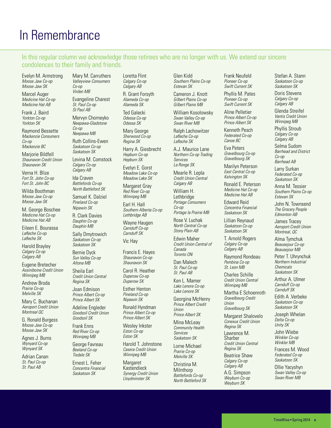# In Remembrance

In this regular column we acknowledge those retirees who are no longer with us. We extend our sincere condolences to their family and friends.

Evelyn M. Armstrong *Moose Jaw Co-op Moose Jaw SK*

Marcel Auger *Medicine Hat Co-op Medicine Hat AB*

Frank J. Baird *Yorkton Co-op Yorkton SK*

Raymond Bessette *Mackenzie Consumers Co-op Mackenzie BC*

Mariorie Bildfell *Shaunavon Credit Union Shaunavon SK*

Verna H. Blize *Fort St. John Co-op Fort St. John BC*

Wilda Boothman *Moose Jaw Co-op Moose Jaw SK*

M. George Boschee *Medicine Hat Co-op Medicine Hat AB*

Eileen E. Bourassa *Lafleche Co-op Lafleche SK*

Harold Brayley *Calgary Co-op Calgary AB*

Eugene Bretecher *Assiniboine Credit Union Winnipeg MB*

Andrew Broda *Prairie Co-op Melville SK*

Mary C. Buchanan *Aeroport Credit Union Montreal QC*

G. Ronald Burgess *Moose Jaw Co-op Moose Jaw SK*

Agnes J. Burns *Wynyard Co-op Wynyard SK*

Adrian Canan *St. Paul Co-op St. Paul AB*

Mary M. Carruthers *Valleyview Consumers Co-op Virden MB*

Evangeline Charest *St. Paul Co-op St Paul AB*

Mervyn Chorneyko *Neepawa-Gladstone Co-op*

*Neepawa MB* Ruth Collins-Ewen

*Saskatoon Co-op Saskatoon SK*

Levina M. Comstock *Calgary Co-op Calgary AB*

Ida Craven *Battlefords Co-op North Battleford SK*

Samuel K. Dalziel *Pineland Co-op Nipawin SK*

R. Clark Davies *Dauphin Co-op Dauphin MB*

Sally Dmytrowich *Saskatoon Co-op Saskatoon SK*

Bernie Dyck *Sun Valley Co-op Altona MB*

Sheila Earl *Credit Union Central Regina SK*

Joan Edmison *Prince Albert Co-op Prince Albert SK*

Adeline Engleder *Goodsoil Credit Union Goodsoil SK*

Frank Enns *Red River Co-op Winnipeg MB*

George Favreau *Beeland Co-op Tisdale SK*

Ernest L. Feher *Concentra Financial Saskatoon SK*

Loretta Flint *Calgary Co-op Calgary AB*

R. Grant Forsyth *Alameda Co-op Alameda SK*

Ted Galecki *Odessa Co-op Odessa SK*

Mary George *Sherwood Co-op Regina SK*

Harry A. Giesbrecht *Hepburn Co-op Hepburn SK*

Evelyn E. Gorst *Meadow Lake Co-op Meadow Lake SK*

Margaret Gray *Red River Co-op Winnipeg MB*

Earl H. Hall *Southern Alberta Co-op Lethbridge AB*

Wayne Haugen *Carnduff Co-op Carnduff SK*

Vic Hay

Francis E. Hayes *Shaunavon Co-op Shaunavon SK*

Carol R. Heather *Duperow Co-op Duperow SK*

Esther Henton *Pineland Co-op Nipawin SK*

Ronald Hyndman *Prince Albert Co-op Prince Albert SK*

Wesley Inkster *Eston Co-op Eston SK*

Harold T. Johnstone *Casera Credit Union Winnipeg MB*

**Margaret** Kastendieck *Synergy Credit Union Lloydminster SK*

Glen Kidd *Southern Plains Co-op Estevan SK*

Cameron J. Knott *Gilbert Plains Co-op Gilbert Plains MB*

William Kosolowsky *Swan Valley Co-op Swan River MB*

Ralph Lachowitzer *Lafleche Co-op Lafleche SK*

A.J. Maurice Lane *Northern Co-op Trading Services La Ronge SK*

Mearle R. Lepla *Credit Union Central Calgary AB*

William H. **Lethbridge** *Portage Consumers Co-op Portage la Prairie MB*

Rose V. Luchak *North Central Co-op Stony Plain AB*

Edwin Maher *Credit Union Central of Canada Toronto ON*

Dan Malech *St. Paul Co-op St. Paul AB*

Ken L. Mamer *Lake Lenore Co-op Lake Lenore SK*

Georgina McHenry *Prince Albert Credit Union Prince Albert SK*

Mina McLeay

*Community Health Services Saskatoon SK*

Lorne Michael *Prairie Co-op Melville SK*

Christina M. **Milnthorp** *Battlefords Co-op North Battleford SK* Frank Neufeld *Pioneer Co-op Swift Current SK*

Phyllis M. Pates *Pioneer Co-op Swift Current SK*

Aline Pelletier *Prince Albert Co-op Prince Albert SK*

Kenneth Pesch *Federated Co-op Canoe BC*

Eva Peters *Gravelbourg Co-op Gravelbourg SK*

Marilyn Peterson *East Central Co-op Kelvington SK*

Ronald E. Peterson *Medicine Hat Co-op Medicine Hat AB*

Edward Reid *Concentra Financial Saskatoon SK*

Lillian Reynaud *Saskatoon Co-op Saskatoon SK*

T. Arnold Rogers *Calgary Co-op Calgary AB*

Raymond Rondeau *Pembina Co-op St. Leon MB*

Charles Schille *Credit Union Central Winnipeg MB*

Martha E Schoenroth *Gravelbourg Credit Union Gravelbourg SK*

Margaret Shalovelo *Conexus Credit Union Regina SK*

Lawrence M. **Sharber** *Credit Union Central Regina SK*

Beatrice Shaw *Calgary Co-op Calgary AB* A.G. Simpson *Weyburn Co-op Weyburn SK*

Stefan A. Stann *Saskatoon Co-op Saskatoon SK*

Doris Stevens *Calgary Co-op Calgary AB*

Glenda Streifel *Vantis Credit Union Winnipeg MB*

Phyllis Stroub *Calgary Co-op Calgary AB*

Selma Sudom *Barrhead and District Co-op Barrhead AB*

Larry Surkan *Federated Co-op Saskatoon SK*

Anna M. Tessier *Southern Plains Co-op Estevan SK*

John N. Townsend *The Grocery People Edmonton AB*

James Tracey *Aeroport Credit Union Montreal, QC*

Alma Tymchuk *Beausejour Co-op Beausejour MB*

Peter T. Uhrynchuk *Northern Industrial Chemicals Saskatoon SK*

Arthur A. Ulmer *Carnduff Co-op Carnduff SK*

Edith A .Verbeke *Saskatoon Co-op Saskatoon SK*

Joseph Whelan *Delta Co-op Unity SK*

John Wiebe *Winkler Co-op Winkler MB*

Frances M. Wood *Federated Co-op Saskatoon SK*

TimeWise • Spring 2014 **c**

Ollie Yacyshyn *Swan Valley Co-op Swan River MB*